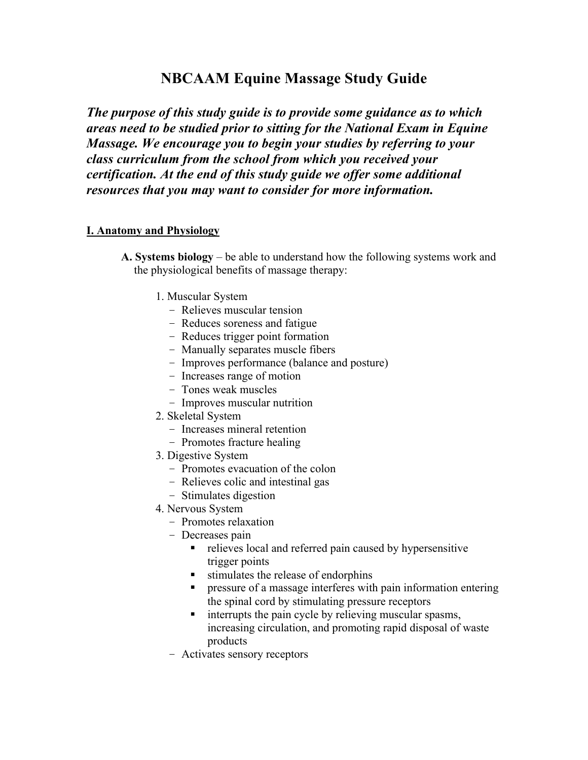# **NBCAAM Equine Massage Study Guide**

*The purpose of this study guide is to provide some guidance as to which areas need to be studied prior to sitting for the National Exam in Equine Massage. We encourage you to begin your studies by referring to your class curriculum from the school from which you received your certification. At the end of this study guide we offer some additional resources that you may want to consider for more information.*

## **I. Anatomy and Physiology**

- **A. Systems biology** be able to understand how the following systems work and the physiological benefits of massage therapy:
	- 1. Muscular System
		- Relieves muscular tension
		- Reduces soreness and fatigue
		- Reduces trigger point formation
		- Manually separates muscle fibers
		- Improves performance (balance and posture)
		- Increases range of motion
		- Tones weak muscles
		- Improves muscular nutrition
	- 2. Skeletal System
		- Increases mineral retention
		- Promotes fracture healing
	- 3. Digestive System
		- Promotes evacuation of the colon
		- Relieves colic and intestinal gas
		- Stimulates digestion
	- 4. Nervous System
		- Promotes relaxation
		- Decreases pain
			- relieves local and referred pain caused by hypersensitive trigger points
			- $\blacksquare$  stimulates the release of endorphins
			- **PERICIST:** pressure of a massage interferes with pain information entering the spinal cord by stimulating pressure receptors
			- **Example 1** interrupts the pain cycle by relieving muscular spasms, increasing circulation, and promoting rapid disposal of waste products
		- Activates sensory receptors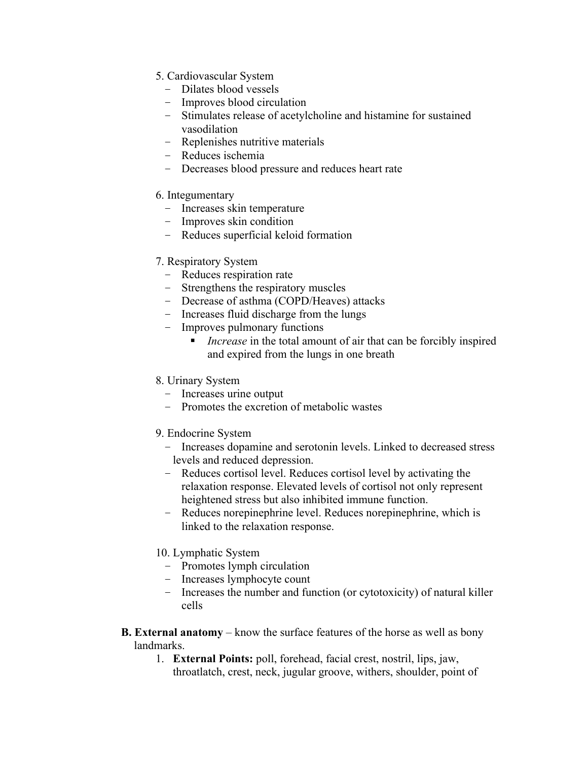- 5. Cardiovascular System
	- Dilates blood vessels
	- Improves blood circulation
	- Stimulates release of acetylcholine and histamine for sustained vasodilation
	- Replenishes nutritive materials
	- Reduces ischemia
	- Decreases blood pressure and reduces heart rate

#### 6. Integumentary

- Increases skin temperature
- Improves skin condition
- Reduces superficial keloid formation

### 7. Respiratory System

- Reduces respiration rate
- Strengthens the respiratory muscles
- Decrease of asthma (COPD/Heaves) attacks
- Increases fluid discharge from the lungs
- Improves pulmonary functions
	- *Increase* in the total amount of air that can be forcibly inspired and expired from the lungs in one breath

#### 8. Urinary System

- Increases urine output
- Promotes the excretion of metabolic wastes

#### 9. Endocrine System

- Increases dopamine and serotonin levels. Linked to decreased stress levels and reduced depression.
- Reduces cortisol level. Reduces cortisol level by activating the relaxation response. Elevated levels of cortisol not only represent heightened stress but also inhibited immune function.
- Reduces norepinephrine level. Reduces norepinephrine, which is linked to the relaxation response.

#### 10. Lymphatic System

- Promotes lymph circulation
- Increases lymphocyte count
- Increases the number and function (or cytotoxicity) of natural killer cells
- **B. External anatomy** know the surface features of the horse as well as bony landmarks.
	- 1. **External Points:** poll, forehead, facial crest, nostril, lips, jaw, throatlatch, crest, neck, jugular groove, withers, shoulder, point of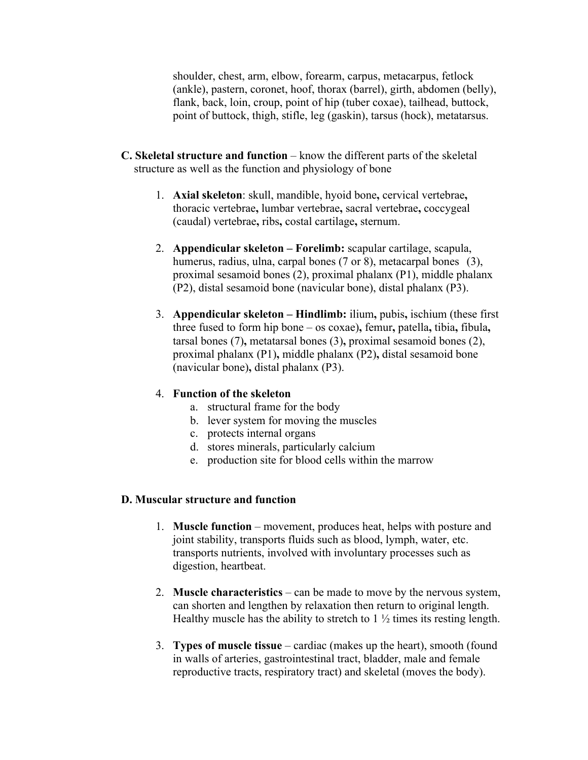shoulder, chest, arm, elbow, forearm, carpus, metacarpus, fetlock (ankle), pastern, coronet, hoof, thorax (barrel), girth, abdomen (belly), flank, back, loin, croup, point of hip (tuber coxae), tailhead, buttock, point of buttock, thigh, stifle, leg (gaskin), tarsus (hock), metatarsus.

- **C. Skeletal structure and function** know the different parts of the skeletal structure as well as the function and physiology of bone
	- 1. **Axial skeleton**: skull, mandible, hyoid bone**,** cervical vertebrae**,**  thoracic vertebrae**,** lumbar vertebrae**,** sacral vertebrae**,** coccygeal (caudal) vertebrae**,** ribs**,** costal cartilage**,** sternum.
	- 2. **Appendicular skeleton Forelimb:** scapular cartilage, scapula, humerus, radius, ulna, carpal bones (7 or 8), metacarpal bones (3), proximal sesamoid bones (2), proximal phalanx (P1), middle phalanx (P2), distal sesamoid bone (navicular bone), distal phalanx (P3).
	- 3. **Appendicular skeleton – Hindlimb:** ilium**,** pubis**,** ischium (these first three fused to form hip bone – os coxae)**,** femur**,** patella**,** tibia**,** fibula**,**  tarsal bones (7)**,** metatarsal bones (3)**,** proximal sesamoid bones (2), proximal phalanx (P1)**,** middle phalanx (P2)**,** distal sesamoid bone (navicular bone)**,** distal phalanx (P3).

#### 4. **Function of the skeleton**

- a. structural frame for the body
- b. lever system for moving the muscles
- c. protects internal organs
- d. stores minerals, particularly calcium
- e. production site for blood cells within the marrow

#### **D. Muscular structure and function**

- 1. **Muscle function** movement, produces heat, helps with posture and joint stability, transports fluids such as blood, lymph, water, etc. transports nutrients, involved with involuntary processes such as digestion, heartbeat.
- 2. **Muscle characteristics** can be made to move by the nervous system, can shorten and lengthen by relaxation then return to original length. Healthy muscle has the ability to stretch to  $1\frac{1}{2}$  times its resting length.
- 3. **Types of muscle tissue** cardiac (makes up the heart), smooth (found in walls of arteries, gastrointestinal tract, bladder, male and female reproductive tracts, respiratory tract) and skeletal (moves the body).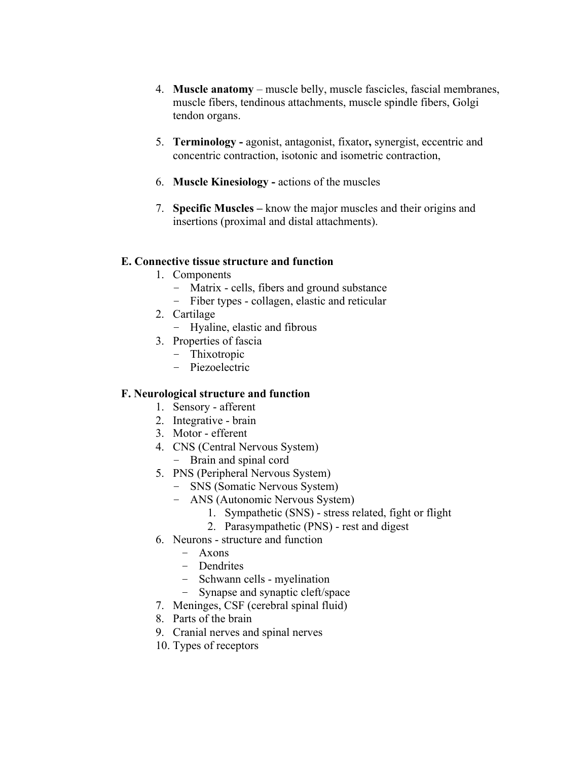- 4. **Muscle anatomy** muscle belly, muscle fascicles, fascial membranes, muscle fibers, tendinous attachments, muscle spindle fibers, Golgi tendon organs.
- 5. **Terminology -** agonist, antagonist, fixator**,** synergist, eccentric and concentric contraction, isotonic and isometric contraction,
- 6. **Muscle Kinesiology -** actions of the muscles
- 7. **Specific Muscles –** know the major muscles and their origins and insertions (proximal and distal attachments).

#### **E. Connective tissue structure and function**

- 1. Components
	- Matrix cells, fibers and ground substance
	- Fiber types collagen, elastic and reticular
- 2. Cartilage
	- Hyaline, elastic and fibrous
- 3. Properties of fascia
	- Thixotropic
	- Piezoelectric

## **F. Neurological structure and function**

- 1. Sensory afferent
- 2. Integrative brain
- 3. Motor efferent
- 4. CNS (Central Nervous System)
	- Brain and spinal cord
- 5. PNS (Peripheral Nervous System)
	- SNS (Somatic Nervous System)
	- ANS (Autonomic Nervous System)
		- 1. Sympathetic (SNS) stress related, fight or flight
		- 2. Parasympathetic (PNS) rest and digest
- 6. Neurons structure and function
	- Axons
	- Dendrites
	- Schwann cells myelination
	- Synapse and synaptic cleft/space
- 7. Meninges, CSF (cerebral spinal fluid)
- 8. Parts of the brain
- 9. Cranial nerves and spinal nerves
- 10. Types of receptors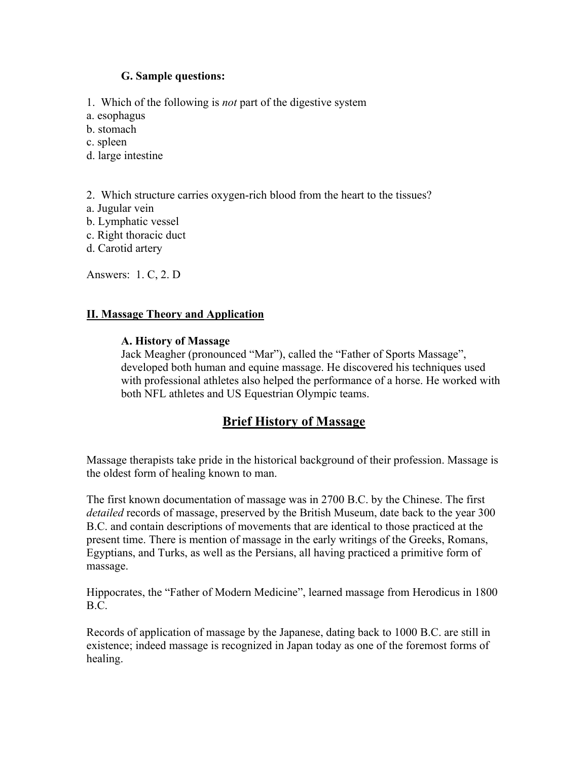#### **G. Sample questions:**

1. Which of the following is *not* part of the digestive system

- a. esophagus
- b. stomach
- c. spleen
- d. large intestine

2. Which structure carries oxygen-rich blood from the heart to the tissues?

- a. Jugular vein
- b. Lymphatic vessel
- c. Right thoracic duct
- d. Carotid artery

Answers: 1. C, 2. D

### **II. Massage Theory and Application**

### **A. History of Massage**

Jack Meagher (pronounced "Mar"), called the "Father of Sports Massage", developed both human and equine massage. He discovered his techniques used with professional athletes also helped the performance of a horse. He worked with both NFL athletes and US Equestrian Olympic teams.

# **Brief History of Massage**

Massage therapists take pride in the historical background of their profession. Massage is the oldest form of healing known to man.

The first known documentation of massage was in 2700 B.C. by the Chinese. The first *detailed* records of massage, preserved by the British Museum, date back to the year 300 B.C. and contain descriptions of movements that are identical to those practiced at the present time. There is mention of massage in the early writings of the Greeks, Romans, Egyptians, and Turks, as well as the Persians, all having practiced a primitive form of massage.

Hippocrates, the "Father of Modern Medicine", learned massage from Herodicus in 1800 B.C.

Records of application of massage by the Japanese, dating back to 1000 B.C. are still in existence; indeed massage is recognized in Japan today as one of the foremost forms of healing.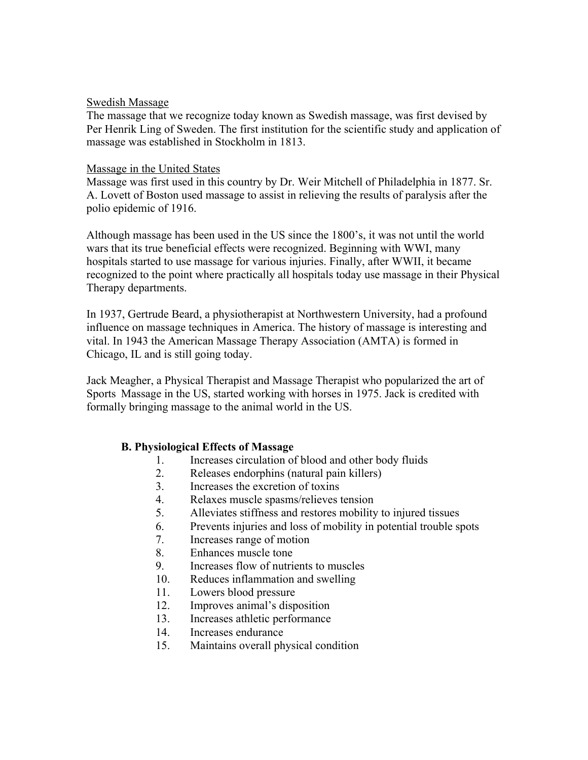#### Swedish Massage

The massage that we recognize today known as Swedish massage, was first devised by Per Henrik Ling of Sweden. The first institution for the scientific study and application of massage was established in Stockholm in 1813.

### Massage in the United States

Massage was first used in this country by Dr. Weir Mitchell of Philadelphia in 1877. Sr. A. Lovett of Boston used massage to assist in relieving the results of paralysis after the polio epidemic of 1916.

Although massage has been used in the US since the 1800's, it was not until the world wars that its true beneficial effects were recognized. Beginning with WWI, many hospitals started to use massage for various injuries. Finally, after WWII, it became recognized to the point where practically all hospitals today use massage in their Physical Therapy departments.

In 1937, Gertrude Beard, a physiotherapist at Northwestern University, had a profound influence on massage techniques in America. The history of massage is interesting and vital. In 1943 the American Massage Therapy Association (AMTA) is formed in Chicago, IL and is still going today.

Jack Meagher, a Physical Therapist and Massage Therapist who popularized the art of Sports Massage in the US, started working with horses in 1975. Jack is credited with formally bringing massage to the animal world in the US.

## **B. Physiological Effects of Massage**

- 1. Increases circulation of blood and other body fluids
- 2. Releases endorphins (natural pain killers)
- 3. Increases the excretion of toxins
- 4. Relaxes muscle spasms/relieves tension
- 5. Alleviates stiffness and restores mobility to injured tissues
- 6. Prevents injuries and loss of mobility in potential trouble spots
- 7. Increases range of motion
- 8. Enhances muscle tone
- 9. Increases flow of nutrients to muscles
- 10. Reduces inflammation and swelling
- 11. Lowers blood pressure
- 12. Improves animal's disposition
- 13. Increases athletic performance
- 14. Increases endurance
- 15. Maintains overall physical condition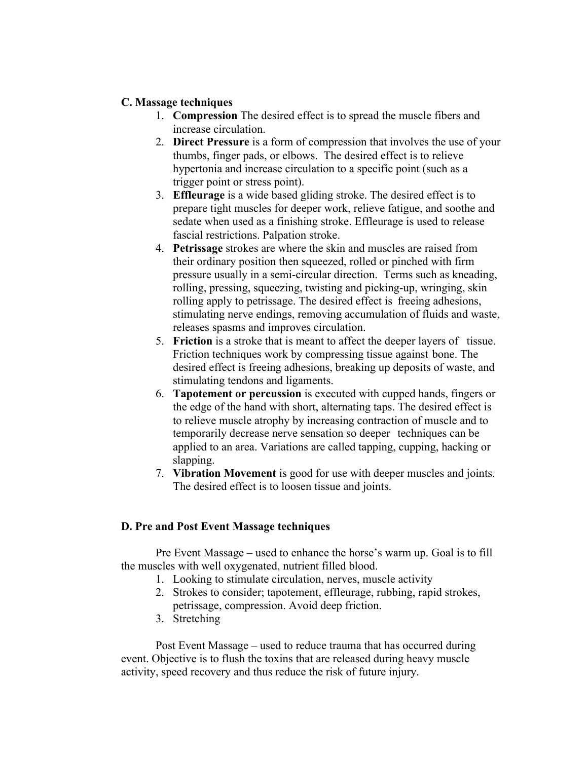### **C. Massage techniques**

- 1. **Compression** The desired effect is to spread the muscle fibers and increase circulation.
- 2. **Direct Pressure** is a form of compression that involves the use of your thumbs, finger pads, or elbows. The desired effect is to relieve hypertonia and increase circulation to a specific point (such as a trigger point or stress point).
- 3. **Effleurage** is a wide based gliding stroke. The desired effect is to prepare tight muscles for deeper work, relieve fatigue, and soothe and sedate when used as a finishing stroke. Effleurage is used to release fascial restrictions. Palpation stroke.
- 4. **Petrissage** strokes are where the skin and muscles are raised from their ordinary position then squeezed, rolled or pinched with firm pressure usually in a semi-circular direction. Terms such as kneading, rolling, pressing, squeezing, twisting and picking-up, wringing, skin rolling apply to petrissage. The desired effect is freeing adhesions, stimulating nerve endings, removing accumulation of fluids and waste, releases spasms and improves circulation.
- 5. **Friction** is a stroke that is meant to affect the deeper layers of tissue. Friction techniques work by compressing tissue against bone. The desired effect is freeing adhesions, breaking up deposits of waste, and stimulating tendons and ligaments.
- 6. **Tapotement or percussion** is executed with cupped hands, fingers or the edge of the hand with short, alternating taps. The desired effect is to relieve muscle atrophy by increasing contraction of muscle and to temporarily decrease nerve sensation so deeper techniques can be applied to an area. Variations are called tapping, cupping, hacking or slapping.
- 7. **Vibration Movement** is good for use with deeper muscles and joints. The desired effect is to loosen tissue and joints.

## **D. Pre and Post Event Massage techniques**

Pre Event Massage – used to enhance the horse's warm up. Goal is to fill the muscles with well oxygenated, nutrient filled blood.

- 1. Looking to stimulate circulation, nerves, muscle activity
- 2. Strokes to consider; tapotement, effleurage, rubbing, rapid strokes, petrissage, compression. Avoid deep friction.
- 3. Stretching

Post Event Massage – used to reduce trauma that has occurred during event. Objective is to flush the toxins that are released during heavy muscle activity, speed recovery and thus reduce the risk of future injury.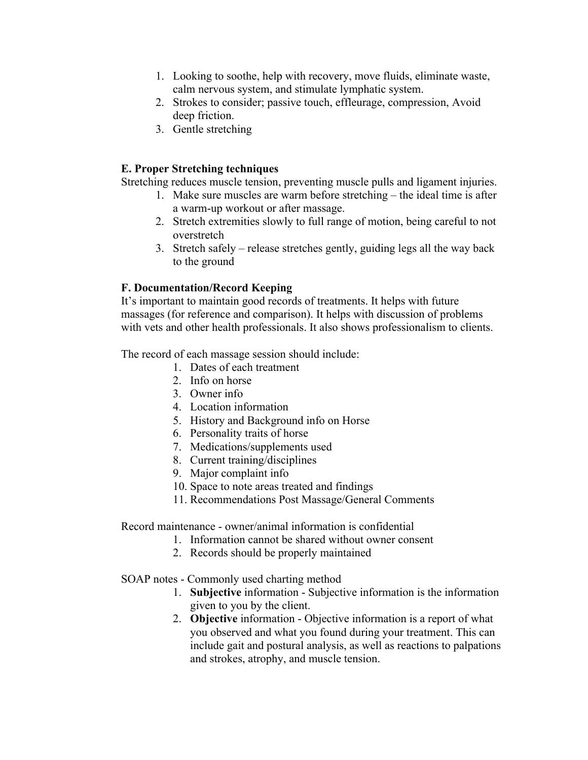- 1. Looking to soothe, help with recovery, move fluids, eliminate waste, calm nervous system, and stimulate lymphatic system.
- 2. Strokes to consider; passive touch, effleurage, compression, Avoid deep friction.
- 3. Gentle stretching

# **E. Proper Stretching techniques**

Stretching reduces muscle tension, preventing muscle pulls and ligament injuries.

- 1. Make sure muscles are warm before stretching the ideal time is after a warm-up workout or after massage.
- 2. Stretch extremities slowly to full range of motion, being careful to not overstretch
- 3. Stretch safely release stretches gently, guiding legs all the way back to the ground

# **F. Documentation/Record Keeping**

It's important to maintain good records of treatments. It helps with future massages (for reference and comparison). It helps with discussion of problems with vets and other health professionals. It also shows professionalism to clients.

The record of each massage session should include:

- 1. Dates of each treatment
- 2. Info on horse
- 3. Owner info
- 4. Location information
- 5. History and Background info on Horse
- 6. Personality traits of horse
- 7. Medications/supplements used
- 8. Current training/disciplines
- 9. Major complaint info
- 10. Space to note areas treated and findings
- 11. Recommendations Post Massage/General Comments

Record maintenance - owner/animal information is confidential

- 1. Information cannot be shared without owner consent
- 2. Records should be properly maintained

#### SOAP notes - Commonly used charting method

- 1. **Subjective** information Subjective information is the information given to you by the client.
- 2. **Objective** information Objective information is a report of what you observed and what you found during your treatment. This can include gait and postural analysis, as well as reactions to palpations and strokes, atrophy, and muscle tension.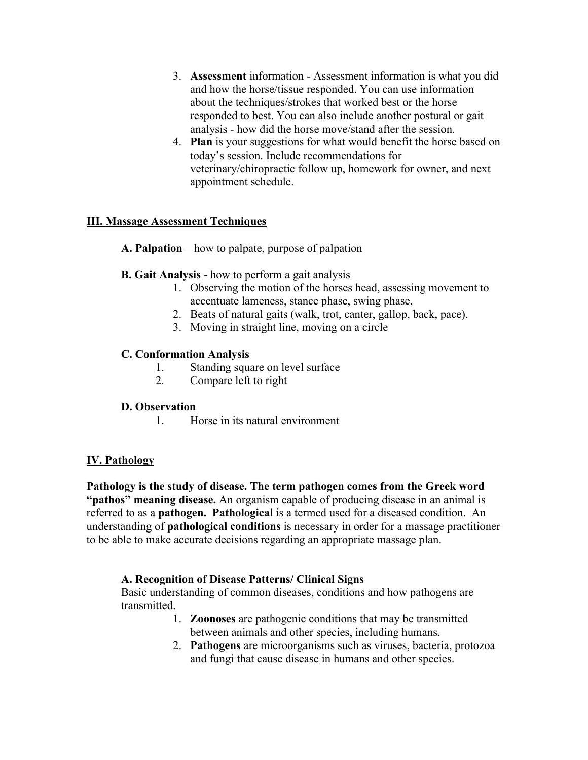- 3. **Assessment** information Assessment information is what you did and how the horse/tissue responded. You can use information about the techniques/strokes that worked best or the horse responded to best. You can also include another postural or gait analysis - how did the horse move/stand after the session.
- 4. **Plan** is your suggestions for what would benefit the horse based on today's session. Include recommendations for veterinary/chiropractic follow up, homework for owner, and next appointment schedule.

## **III. Massage Assessment Techniques**

- **A. Palpation** how to palpate, purpose of palpation
- **B. Gait Analysis** how to perform a gait analysis
	- 1. Observing the motion of the horses head, assessing movement to accentuate lameness, stance phase, swing phase,
	- 2. Beats of natural gaits (walk, trot, canter, gallop, back, pace).
	- 3. Moving in straight line, moving on a circle

## **C. Conformation Analysis**

- 1. Standing square on level surface
- 2. Compare left to right

## **D. Observation**

1. Horse in its natural environment

# **IV. Pathology**

**Pathology is the study of disease. The term pathogen comes from the Greek word "pathos" meaning disease.** An organism capable of producing disease in an animal is referred to as a **pathogen. Pathologica**l is a termed used for a diseased condition. An understanding of **pathological conditions** is necessary in order for a massage practitioner to be able to make accurate decisions regarding an appropriate massage plan.

## **A. Recognition of Disease Patterns/ Clinical Signs**

Basic understanding of common diseases, conditions and how pathogens are transmitted.

- 1. **Zoonoses** are pathogenic conditions that may be transmitted between animals and other species, including humans.
- 2. **Pathogens** are microorganisms such as viruses, bacteria, protozoa and fungi that cause disease in humans and other species.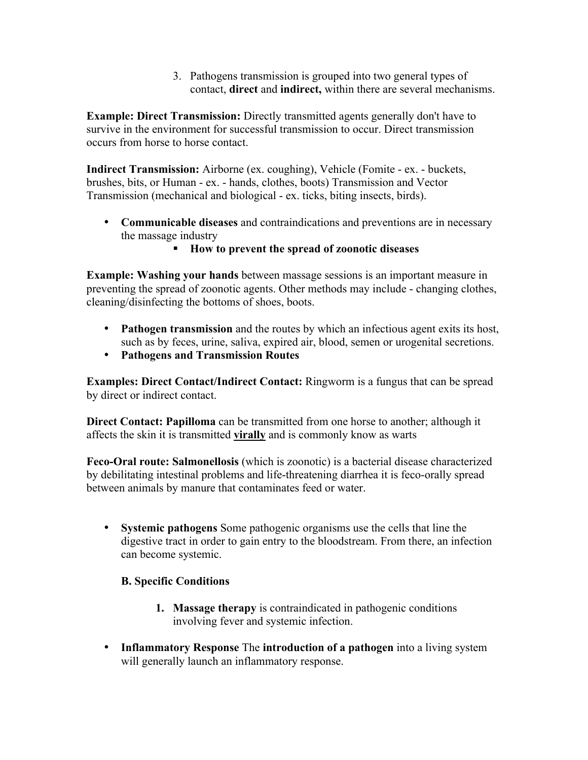3. Pathogens transmission is grouped into two general types of contact, **direct** and **indirect,** within there are several mechanisms.

**Example: Direct Transmission:** Directly transmitted agents generally don't have to survive in the environment for successful transmission to occur. Direct transmission occurs from horse to horse contact.

**Indirect Transmission:** Airborne (ex. coughing), Vehicle (Fomite - ex. - buckets, brushes, bits, or Human - ex. - hands, clothes, boots) Transmission and Vector Transmission (mechanical and biological - ex. ticks, biting insects, birds).

- **Communicable diseases** and contraindications and preventions are in necessary the massage industry
	- **How to prevent the spread of zoonotic diseases**

**Example: Washing your hands** between massage sessions is an important measure in preventing the spread of zoonotic agents. Other methods may include - changing clothes, cleaning/disinfecting the bottoms of shoes, boots.

- **Pathogen transmission** and the routes by which an infectious agent exits its host, such as by feces, urine, saliva, expired air, blood, semen or urogenital secretions.
- **Pathogens and Transmission Routes**

**Examples: Direct Contact/Indirect Contact:** Ringworm is a fungus that can be spread by direct or indirect contact.

**Direct Contact: Papilloma** can be transmitted from one horse to another; although it affects the skin it is transmitted **virally** and is commonly know as warts

**Feco-Oral route: Salmonellosis** (which is zoonotic) is a bacterial disease characterized by debilitating intestinal problems and life-threatening diarrhea it is feco-orally spread between animals by manure that contaminates feed or water.

• **Systemic pathogens** Some pathogenic organisms use the cells that line the digestive tract in order to gain entry to the bloodstream. From there, an infection can become systemic.

## **B. Specific Conditions**

- **1. Massage therapy** is contraindicated in pathogenic conditions involving fever and systemic infection.
- **Inflammatory Response** The **introduction of a pathogen** into a living system will generally launch an inflammatory response.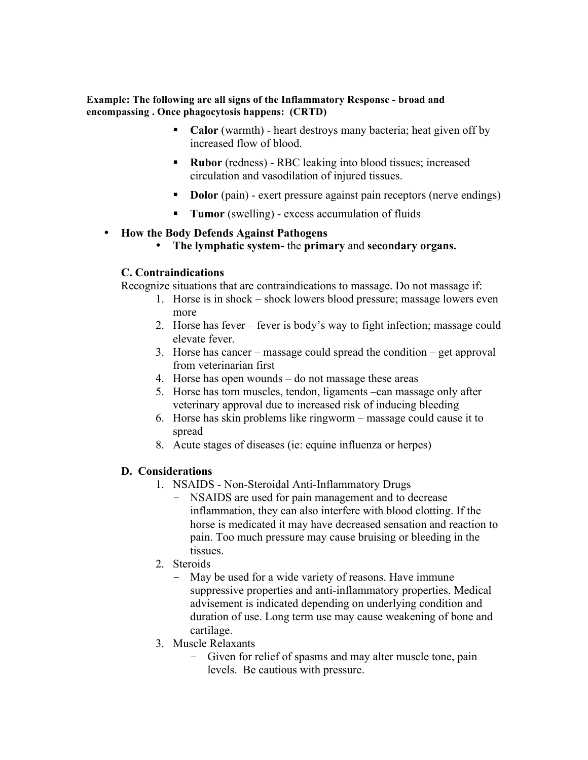#### **Example: The following are all signs of the Inflammatory Response - broad and encompassing . Once phagocytosis happens: (CRTD)**

- Calor (warmth) heart destroys many bacteria; heat given off by increased flow of blood.
- **Rubor** (redness) RBC leaking into blood tissues; increased circulation and vasodilation of injured tissues.
- **Dolor** (pain) exert pressure against pain receptors (nerve endings)
- **Tumor** (swelling) excess accumulation of fluids

### • **How the Body Defends Against Pathogens**

• **The lymphatic system-** the **primary** and **secondary organs.**

### **C. Contraindications**

Recognize situations that are contraindications to massage. Do not massage if:

- 1. Horse is in shock shock lowers blood pressure; massage lowers even more
- 2. Horse has fever fever is body's way to fight infection; massage could elevate fever.
- 3. Horse has cancer massage could spread the condition get approval from veterinarian first
- 4. Horse has open wounds do not massage these areas
- 5. Horse has torn muscles, tendon, ligaments –can massage only after veterinary approval due to increased risk of inducing bleeding
- 6. Horse has skin problems like ringworm massage could cause it to spread
- 8. Acute stages of diseases (ie: equine influenza or herpes)

## **D. Considerations**

- 1. NSAIDS Non-Steroidal Anti-Inflammatory Drugs
	- NSAIDS are used for pain management and to decrease inflammation, they can also interfere with blood clotting. If the horse is medicated it may have decreased sensation and reaction to pain. Too much pressure may cause bruising or bleeding in the tissues.
- 2. Steroids
	- May be used for a wide variety of reasons. Have immune suppressive properties and anti-inflammatory properties. Medical advisement is indicated depending on underlying condition and duration of use. Long term use may cause weakening of bone and cartilage.
- 3. Muscle Relaxants
	- Given for relief of spasms and may alter muscle tone, pain levels. Be cautious with pressure.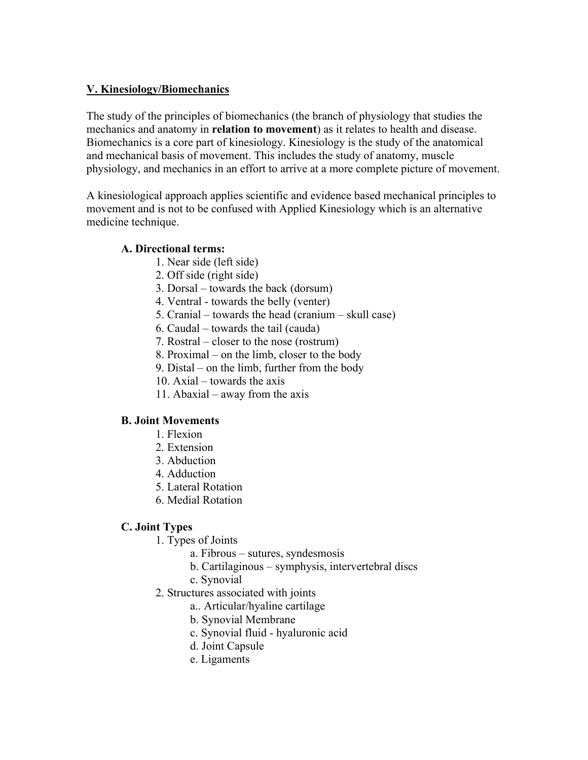# **V. Kinesiology/Biomechanics**

The study of the principles of biomechanics (the branch of physiology that studies the mechanics and anatomy in **relation to movement**) as it relates to health and disease. Biomechanics is a core part of kinesiology. Kinesiology is the study of the anatomical and mechanical basis of movement. This includes the study of anatomy, muscle physiology, and mechanics in an effort to arrive at a more complete picture of movement.

A kinesiological approach applies scientific and evidence based mechanical principles to movement and is not to be confused with Applied Kinesiology which is an alternative medicine technique.

## **A. Directional terms:**

- 1. Near side (left side)
- 2. Off side (right side)
- 3. Dorsal towards the back (dorsum)
- 4. Ventral towards the belly (venter)
- 5. Cranial towards the head (cranium skull case)
- 6. Caudal towards the tail (cauda)
- 7. Rostral closer to the nose (rostrum)
- 8. Proximal on the limb, closer to the body
- 9. Distal on the limb, further from the body
- 10. Axial towards the axis
- 11. Abaxial away from the axis

## **B. Joint Movements**

- 1. Flexion
- 2. Extension
- 3. Abduction
- 4. Adduction
- 5. Lateral Rotation
- 6. Medial Rotation

## **C. Joint Types**

- 1. Types of Joints
	- a. Fibrous sutures, syndesmosis
	- b. Cartilaginous symphysis, intervertebral discs
	- c. Synovial
- 2. Structures associated with joints
	- a.. Articular/hyaline cartilage
	- b. Synovial Membrane
	- c. Synovial fluid hyaluronic acid
	- d. Joint Capsule
	- e. Ligaments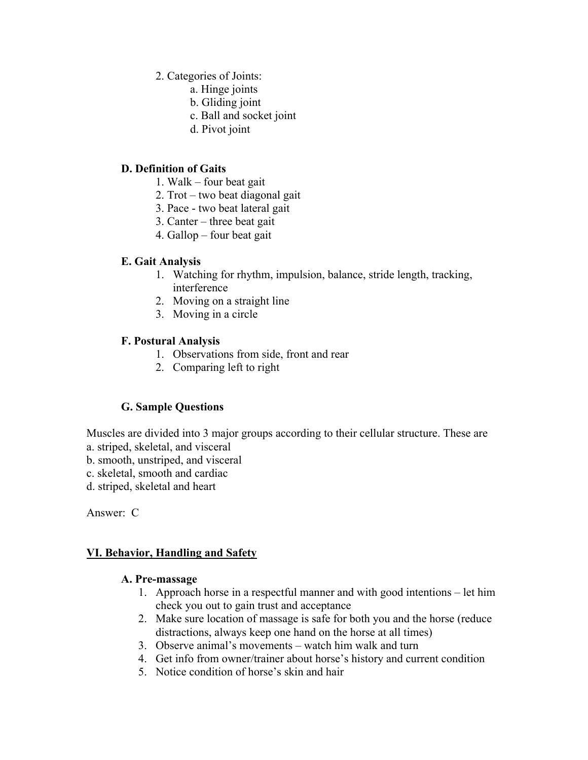- 2. Categories of Joints:
	- a. Hinge joints
		- b. Gliding joint
		- c. Ball and socket joint
	- d. Pivot joint

## **D. Definition of Gaits**

- 1. Walk four beat gait
- 2. Trot two beat diagonal gait
- 3. Pace two beat lateral gait
- 3. Canter three beat gait
- 4. Gallop four beat gait

# **E. Gait Analysis**

- 1. Watching for rhythm, impulsion, balance, stride length, tracking, interference
- 2. Moving on a straight line
- 3. Moving in a circle

# **F. Postural Analysis**

- 1. Observations from side, front and rear
- 2. Comparing left to right

# **G. Sample Questions**

Muscles are divided into 3 major groups according to their cellular structure. These are

- a. striped, skeletal, and visceral
- b. smooth, unstriped, and visceral
- c. skeletal, smooth and cardiac
- d. striped, skeletal and heart

Answer: C

## **VI. Behavior, Handling and Safety**

## **A. Pre-massage**

- 1. Approach horse in a respectful manner and with good intentions let him check you out to gain trust and acceptance
- 2. Make sure location of massage is safe for both you and the horse (reduce distractions, always keep one hand on the horse at all times)
- 3. Observe animal's movements watch him walk and turn
- 4. Get info from owner/trainer about horse's history and current condition
- 5. Notice condition of horse's skin and hair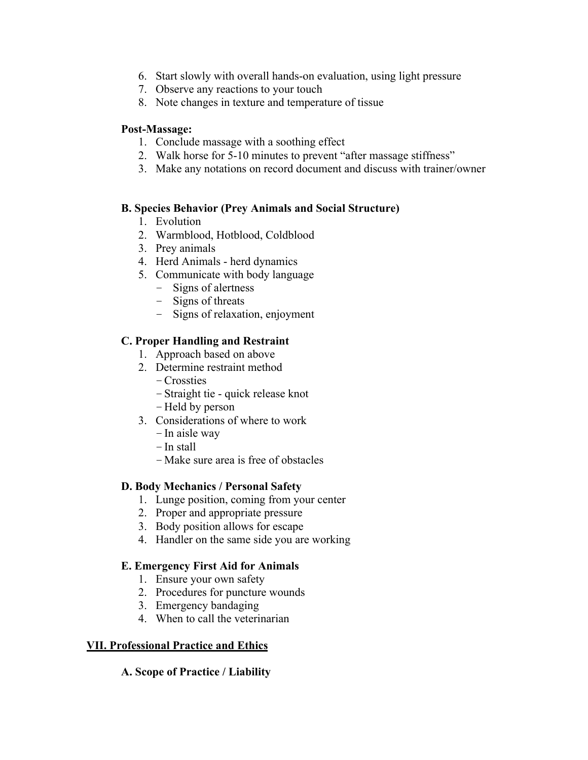- 6. Start slowly with overall hands-on evaluation, using light pressure
- 7. Observe any reactions to your touch
- 8. Note changes in texture and temperature of tissue

### **Post-Massage:**

- 1. Conclude massage with a soothing effect
- 2. Walk horse for 5-10 minutes to prevent "after massage stiffness"
- 3. Make any notations on record document and discuss with trainer/owner

### **B. Species Behavior (Prey Animals and Social Structure)**

- 1. Evolution
- 2. Warmblood, Hotblood, Coldblood
- 3. Prey animals
- 4. Herd Animals herd dynamics
- 5. Communicate with body language
	- Signs of alertness
	- Signs of threats
	- Signs of relaxation, enjoyment

# **C. Proper Handling and Restraint**

- 1. Approach based on above
- 2. Determine restraint method
	- –Crossties
	- –Straight tie quick release knot
	- Held by person
- 3. Considerations of where to work
	- –In aisle way
	- –In stall
	- Make sure area is free of obstacles

## **D. Body Mechanics / Personal Safety**

- 1. Lunge position, coming from your center
- 2. Proper and appropriate pressure
- 3. Body position allows for escape
- 4. Handler on the same side you are working

## **E. Emergency First Aid for Animals**

- 1. Ensure your own safety
- 2. Procedures for puncture wounds
- 3. Emergency bandaging
- 4. When to call the veterinarian

## **VII. Professional Practice and Ethics**

## **A. Scope of Practice / Liability**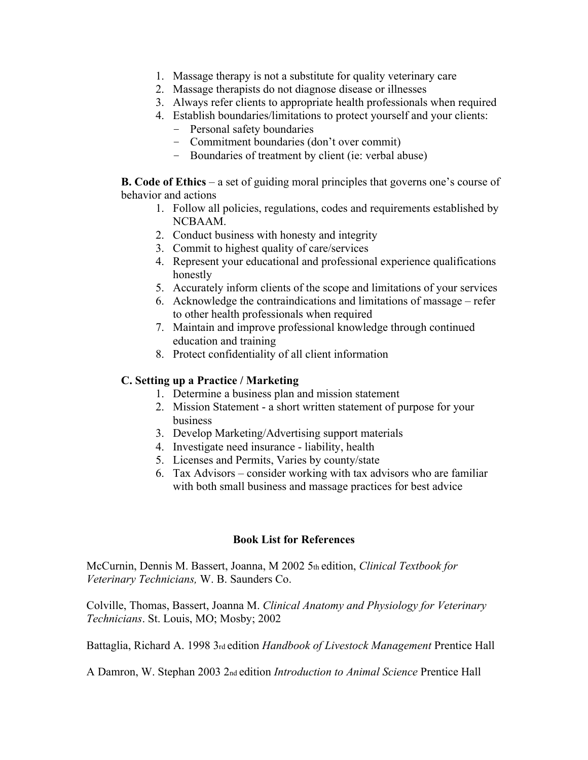- 1. Massage therapy is not a substitute for quality veterinary care
- 2. Massage therapists do not diagnose disease or illnesses
- 3. Always refer clients to appropriate health professionals when required
- 4. Establish boundaries/limitations to protect yourself and your clients:
	- Personal safety boundaries
	- Commitment boundaries (don't over commit)
	- Boundaries of treatment by client (ie: verbal abuse)

**B. Code of Ethics** – a set of guiding moral principles that governs one's course of behavior and actions

- 1. Follow all policies, regulations, codes and requirements established by NCBAAM.
- 2. Conduct business with honesty and integrity
- 3. Commit to highest quality of care/services
- 4. Represent your educational and professional experience qualifications honestly
- 5. Accurately inform clients of the scope and limitations of your services
- 6. Acknowledge the contraindications and limitations of massage refer to other health professionals when required
- 7. Maintain and improve professional knowledge through continued education and training
- 8. Protect confidentiality of all client information

#### **C. Setting up a Practice / Marketing**

- 1. Determine a business plan and mission statement
- 2. Mission Statement a short written statement of purpose for your business
- 3. Develop Marketing/Advertising support materials
- 4. Investigate need insurance liability, health
- 5. Licenses and Permits, Varies by county/state
- 6. Tax Advisors consider working with tax advisors who are familiar with both small business and massage practices for best advice

#### **Book List for References**

McCurnin, Dennis M. Bassert, Joanna, M 2002 5th edition, *Clinical Textbook for Veterinary Technicians,* W. B. Saunders Co.

Colville, Thomas, Bassert, Joanna M. *Clinical Anatomy and Physiology for Veterinary Technicians*. St. Louis, MO; Mosby; 2002

Battaglia, Richard A. 1998 3rd edition *Handbook of Livestock Management* Prentice Hall

A Damron, W. Stephan 2003 2nd edition *Introduction to Animal Science* Prentice Hall